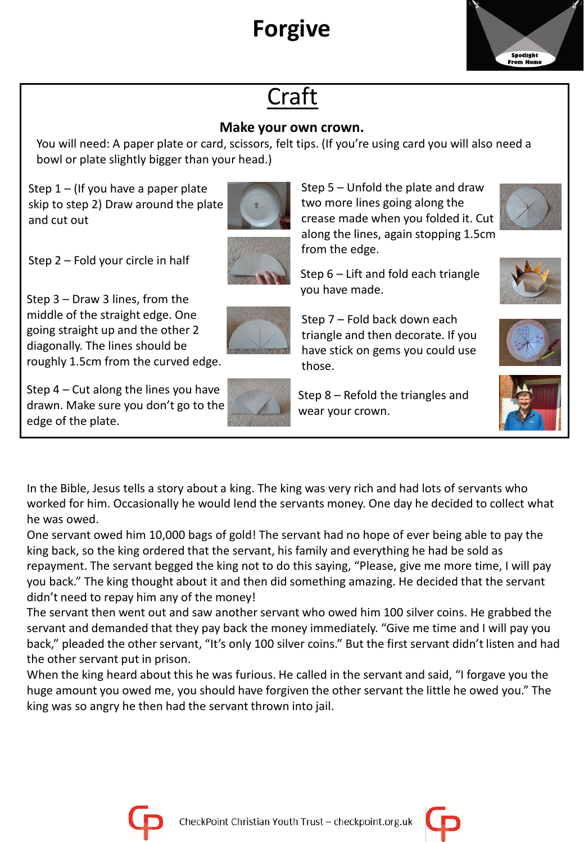# **Forgive**



## Craft

#### **Make your own crown.**

You will need: A paper plate or card, scissors, felt tips. (If you're using card you will also need a bowl or plate slightly bigger than your head.)

Step  $1 -$  (If you have a paper plate skip to step 2) Draw around the plate and cut out



Step 2 – Fold your circle in half

Step 3 – Draw 3 lines, from the middle of the straight edge. One going straight up and the other 2 diagonally. The lines should be roughly 1.5cm from the curved edge.

Step 4 – Cut along the lines you have drawn. Make sure you don't go to the edge of the plate.



Step 5 – Unfold the plate and draw two more lines going along the crease made when you folded it. Cut along the lines, again stopping 1.5cm from the edge.







those. Step 8 – Refold the triangles and wear your crown.

Step 7 – Fold back down each triangle and then decorate. If you have stick on gems you could use

you have made.





In the Bible, Jesus tells a story about a king. The king was very rich and had lots of servants who worked for him. Occasionally he would lend the servants money. One day he decided to collect what he was owed.

One servant owed him 10,000 bags of gold! The servant had no hope of ever being able to pay the king back, so the king ordered that the servant, his family and everything he had be sold as repayment. The servant begged the king not to do this saying, "Please, give me more time, I will pay you back." The king thought about it and then did something amazing. He decided that the servant didn't need to repay him any of the money!

The servant then went out and saw another servant who owed him 100 silver coins. He grabbed the servant and demanded that they pay back the money immediately. "Give me time and I will pay you back," pleaded the other servant, "It's only 100 silver coins." But the first servant didn't listen and had the other servant put in prison.

When the king heard about this he was furious. He called in the servant and said, "I forgave you the huge amount you owed me, you should have forgiven the other servant the little he owed you." The king was so angry he then had the servant thrown into jail.